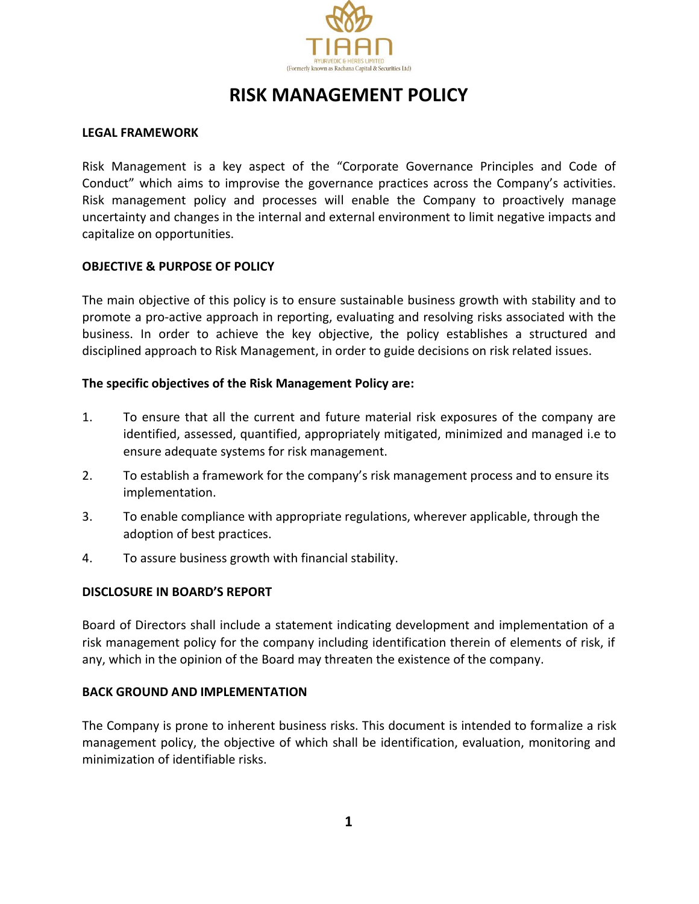

# **RISK MANAGEMENT POLICY**

## **LEGAL FRAMEWORK**

Risk Management is a key aspect of the "Corporate Governance Principles and Code of Conduct" which aims to improvise the governance practices across the Company's activities. Risk management policy and processes will enable the Company to proactively manage uncertainty and changes in the internal and external environment to limit negative impacts and capitalize on opportunities.

## **OBJECTIVE & PURPOSE OF POLICY**

The main objective of this policy is to ensure sustainable business growth with stability and to promote a pro-active approach in reporting, evaluating and resolving risks associated with the business. In order to achieve the key objective, the policy establishes a structured and disciplined approach to Risk Management, in order to guide decisions on risk related issues.

## **The specific objectives of the Risk Management Policy are:**

- 1. To ensure that all the current and future material risk exposures of the company are identified, assessed, quantified, appropriately mitigated, minimized and managed i.e to ensure adequate systems for risk management.
- 2. To establish a framework for the company's risk management process and to ensure its implementation.
- 3. To enable compliance with appropriate regulations, wherever applicable, through the adoption of best practices.
- 4. To assure business growth with financial stability.

#### **DISCLOSURE IN BOARD'S REPORT**

Board of Directors shall include a statement indicating development and implementation of a risk management policy for the company including identification therein of elements of risk, if any, which in the opinion of the Board may threaten the existence of the company.

#### **BACK GROUND AND IMPLEMENTATION**

The Company is prone to inherent business risks. This document is intended to formalize a risk management policy, the objective of which shall be identification, evaluation, monitoring and minimization of identifiable risks.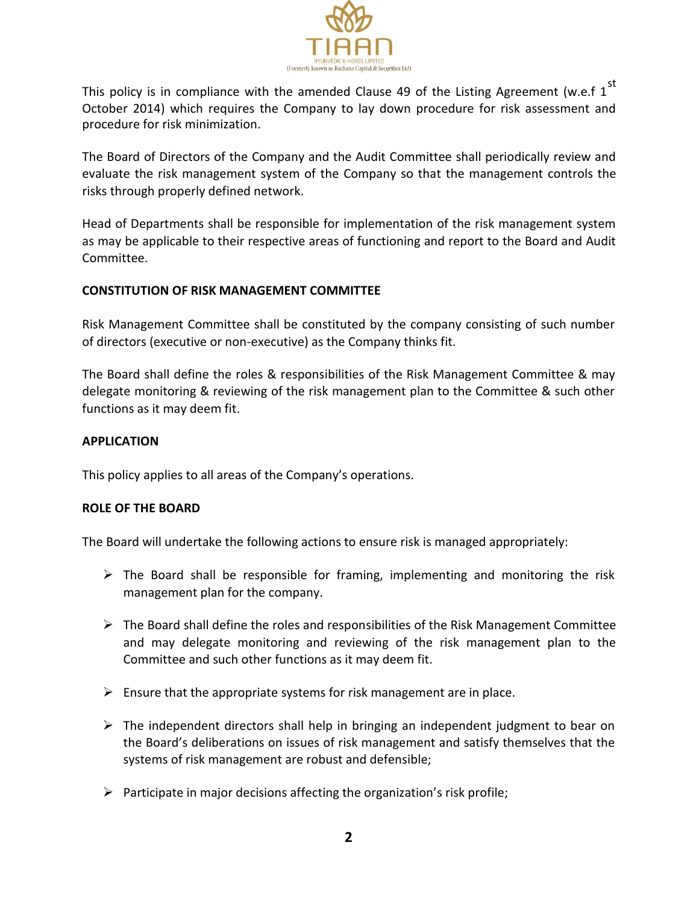

This policy is in compliance with the amended Clause 49 of the Listing Agreement (w.e.f  $1^{st}$ October 2014) which requires the Company to lay down procedure for risk assessment and procedure for risk minimization.

The Board of Directors of the Company and the Audit Committee shall periodically review and evaluate the risk management system of the Company so that the management controls the risks through properly defined network.

Head of Departments shall be responsible for implementation of the risk management system as may be applicable to their respective areas of functioning and report to the Board and Audit Committee.

# **CONSTITUTION OF RISK MANAGEMENT COMMITTEE**

Risk Management Committee shall be constituted by the company consisting of such number of directors (executive or non-executive) as the Company thinks fit.

The Board shall define the roles & responsibilities of the Risk Management Committee & may delegate monitoring & reviewing of the risk management plan to the Committee & such other functions as it may deem fit.

# **APPLICATION**

This policy applies to all areas of the Company's operations.

# **ROLE OF THE BOARD**

The Board will undertake the following actions to ensure risk is managed appropriately:

- $\triangleright$  The Board shall be responsible for framing, implementing and monitoring the risk management plan for the company.
- $\triangleright$  The Board shall define the roles and responsibilities of the Risk Management Committee and may delegate monitoring and reviewing of the risk management plan to the Committee and such other functions as it may deem fit.
- $\triangleright$  Ensure that the appropriate systems for risk management are in place.
- $\triangleright$  The independent directors shall help in bringing an independent judgment to bear on the Board's deliberations on issues of risk management and satisfy themselves that the systems of risk management are robust and defensible;
- $\triangleright$  Participate in major decisions affecting the organization's risk profile;